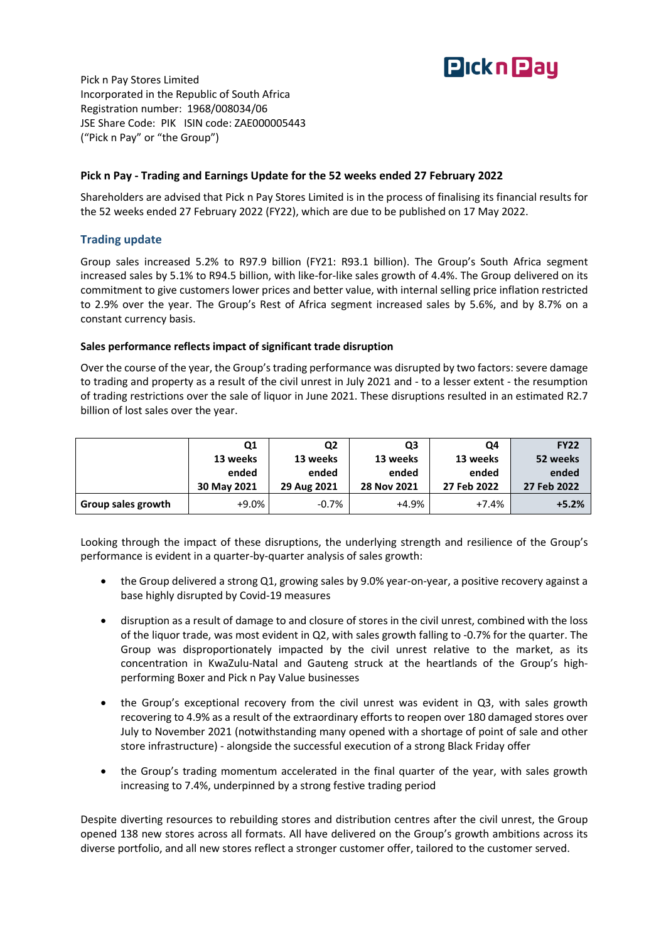

Pick n Pay Stores Limited Incorporated in the Republic of South Africa Registration number: 1968/008034/06 JSE Share Code: PIK ISIN code: ZAE000005443 ("Pick n Pay" or "the Group")

#### **Pick n Pay - Trading and Earnings Update for the 52 weeks ended 27 February 2022**

Shareholders are advised that Pick n Pay Stores Limited is in the process of finalising its financial results for the 52 weeks ended 27 February 2022 (FY22), which are due to be published on 17 May 2022.

# **Trading update**

Group sales increased 5.2% to R97.9 billion (FY21: R93.1 billion). The Group's South Africa segment increased sales by 5.1% to R94.5 billion, with like-for-like sales growth of 4.4%. The Group delivered on its commitment to give customers lower prices and better value, with internal selling price inflation restricted to 2.9% over the year. The Group's Rest of Africa segment increased sales by 5.6%, and by 8.7% on a constant currency basis.

#### **Sales performance reflects impact of significant trade disruption**

Over the course of the year, the Group's trading performance was disrupted by two factors: severe damage to trading and property as a result of the civil unrest in July 2021 and - to a lesser extent - the resumption of trading restrictions over the sale of liquor in June 2021. These disruptions resulted in an estimated R2.7 billion of lost sales over the year.

|                    | Q1          | Q <sub>2</sub> | Q3          | Q4          | <b>FY22</b> |
|--------------------|-------------|----------------|-------------|-------------|-------------|
|                    | 13 weeks    | 13 weeks       | 13 weeks    | 13 weeks    | 52 weeks    |
|                    | ended       | ended          | ended       | ended       | ended       |
|                    | 30 May 2021 | 29 Aug 2021    | 28 Nov 2021 | 27 Feb 2022 | 27 Feb 2022 |
| Group sales growth | $+9.0%$     | $-0.7%$        | $+4.9%$     | $+7.4%$     | $+5.2%$     |

Looking through the impact of these disruptions, the underlying strength and resilience of the Group's performance is evident in a quarter-by-quarter analysis of sales growth:

- the Group delivered a strong Q1, growing sales by 9.0% year-on-year, a positive recovery against a base highly disrupted by Covid-19 measures
- disruption as a result of damage to and closure of stores in the civil unrest, combined with the loss of the liquor trade, was most evident in Q2, with sales growth falling to -0.7% for the quarter. The Group was disproportionately impacted by the civil unrest relative to the market, as its concentration in KwaZulu-Natal and Gauteng struck at the heartlands of the Group's highperforming Boxer and Pick n Pay Value businesses
- the Group's exceptional recovery from the civil unrest was evident in Q3, with sales growth recovering to 4.9% as a result of the extraordinary efforts to reopen over 180 damaged stores over July to November 2021 (notwithstanding many opened with a shortage of point of sale and other store infrastructure) - alongside the successful execution of a strong Black Friday offer
- the Group's trading momentum accelerated in the final quarter of the year, with sales growth increasing to 7.4%, underpinned by a strong festive trading period

Despite diverting resources to rebuilding stores and distribution centres after the civil unrest, the Group opened 138 new stores across all formats. All have delivered on the Group's growth ambitions across its diverse portfolio, and all new stores reflect a stronger customer offer, tailored to the customer served.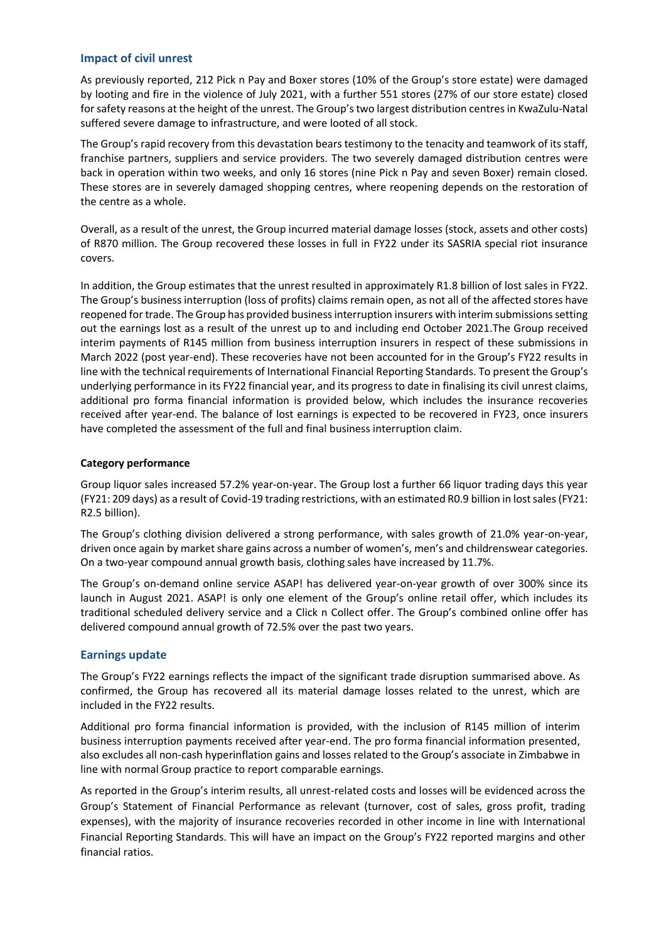#### **Impact of civil unrest**

As previously reported, 212 Pick n Pay and Boxer stores (10% of the Group's store estate) were damaged by looting and fire in the violence of July 2021, with a further 551 stores (27% of our store estate) closed for safety reasons at the height of the unrest. The Group's two largest distribution centres in KwaZulu-Natal suffered severe damage to infrastructure, and were looted of all stock.

The Group's rapid recovery from this devastation bears testimony to the tenacity and teamwork of its staff, franchise partners, suppliers and service providers. The two severely damaged distribution centres were back in operation within two weeks, and only 16 stores (nine Pick n Pay and seven Boxer) remain closed. These stores are in severely damaged shopping centres, where reopening depends on the restoration of the centre as a whole.

Overall, as a result of the unrest, the Group incurred material damage losses (stock, assets and other costs) of R870 million. The Group recovered these losses in full in FY22 under its SASRIA special riot insurance covers.

In addition, the Group estimates that the unrest resulted in approximately R1.8 billion of lost sales in FY22. The Group's business interruption (loss of profits) claims remain open, as not all of the affected stores have reopened for trade. The Group has provided business interruption insurers with interim submissionssetting out the earnings lost as a result of the unrest up to and including end October 2021.The Group received interim payments of R145 million from business interruption insurers in respect of these submissions in March 2022 (post year-end). These recoveries have not been accounted for in the Group's FY22 results in line with the technical requirements of International Financial Reporting Standards. To present the Group's underlying performance in its FY22 financial year, and its progress to date in finalising its civil unrest claims, additional pro forma financial information is provided below, which includes the insurance recoveries received after year-end. The balance of lost earnings is expected to be recovered in FY23, once insurers have completed the assessment of the full and final business interruption claim.

# **Category performance**

Group liquor sales increased 57.2% year-on-year. The Group lost a further 66 liquor trading days this year (FY21: 209 days) as a result of Covid-19 trading restrictions, with an estimated R0.9 billion in lost sales (FY21: R2.5 billion).

The Group's clothing division delivered a strong performance, with sales growth of 21.0% year-on-year, driven once again by market share gains across a number of women's, men's and childrenswear categories. On a two-year compound annual growth basis, clothing sales have increased by 11.7%.

The Group's on-demand online service ASAP! has delivered year-on-year growth of over 300% since its launch in August 2021. ASAP! is only one element of the Group's online retail offer, which includes its traditional scheduled delivery service and a Click n Collect offer. The Group's combined online offer has delivered compound annual growth of 72.5% over the past two years.

# **Earnings update**

The Group's FY22 earnings reflects the impact of the significant trade disruption summarised above. As confirmed, the Group has recovered all its material damage losses related to the unrest, which are included in the FY22 results.

Additional pro forma financial information is provided, with the inclusion of R145 million of interim business interruption payments received after year-end. The pro forma financial information presented, also excludes all non-cash hyperinflation gains and losses related to the Group's associate in Zimbabwe in line with normal Group practice to report comparable earnings.

As reported in the Group's interim results, all unrest-related costs and losses will be evidenced across the Group's Statement of Financial Performance as relevant (turnover, cost of sales, gross profit, trading expenses), with the majority of insurance recoveries recorded in other income in line with International Financial Reporting Standards. This will have an impact on the Group's FY22 reported margins and other financial ratios.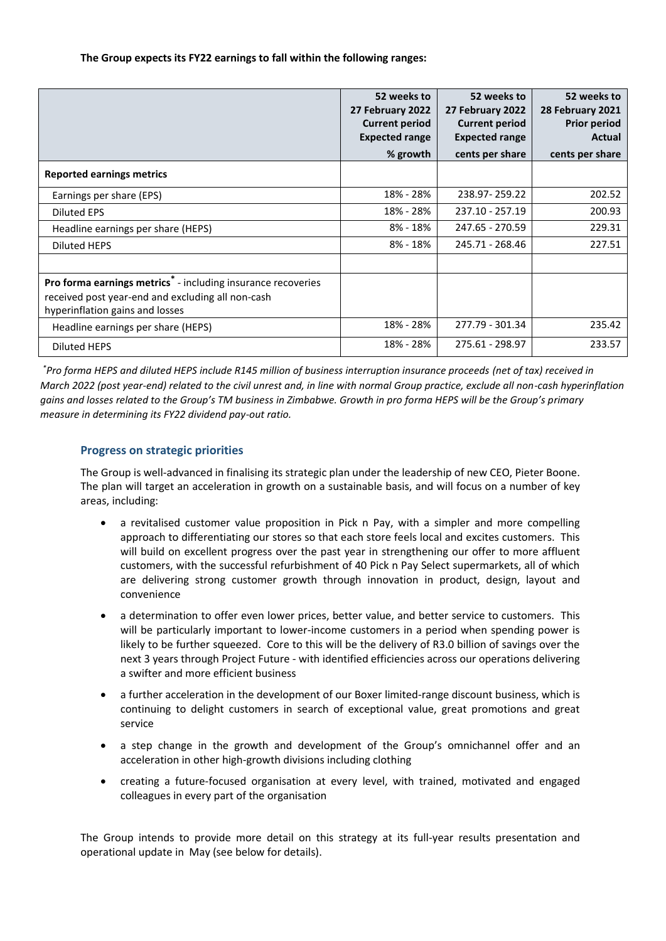**The Group expects its FY22 earnings to fall within the following ranges:**

|                                                                                                                                                                  | 52 weeks to<br>27 February 2022<br><b>Current period</b><br><b>Expected range</b><br>% growth | 52 weeks to<br>27 February 2022<br><b>Current period</b><br><b>Expected range</b><br>cents per share | 52 weeks to<br>28 February 2021<br><b>Prior period</b><br>Actual<br>cents per share |
|------------------------------------------------------------------------------------------------------------------------------------------------------------------|-----------------------------------------------------------------------------------------------|------------------------------------------------------------------------------------------------------|-------------------------------------------------------------------------------------|
| <b>Reported earnings metrics</b>                                                                                                                                 |                                                                                               |                                                                                                      |                                                                                     |
| Earnings per share (EPS)                                                                                                                                         | 18% - 28%                                                                                     | 238.97 - 259.22                                                                                      | 202.52                                                                              |
| Diluted EPS                                                                                                                                                      | 18% - 28%                                                                                     | 237.10 - 257.19                                                                                      | 200.93                                                                              |
| Headline earnings per share (HEPS)                                                                                                                               | 8% - 18%                                                                                      | 247.65 - 270.59                                                                                      | 229.31                                                                              |
| Diluted HEPS                                                                                                                                                     | $8\% - 18\%$                                                                                  | 245.71 - 268.46                                                                                      | 227.51                                                                              |
|                                                                                                                                                                  |                                                                                               |                                                                                                      |                                                                                     |
| Pro forma earnings metrics <sup>®</sup> - including insurance recoveries<br>received post year-end and excluding all non-cash<br>hyperinflation gains and losses |                                                                                               |                                                                                                      |                                                                                     |
| Headline earnings per share (HEPS)                                                                                                                               | 18% - 28%                                                                                     | 277.79 - 301.34                                                                                      | 235.42                                                                              |
| <b>Diluted HEPS</b>                                                                                                                                              | 18% - 28%                                                                                     | 275.61 - 298.97                                                                                      | 233.57                                                                              |

*\*Pro forma HEPS and diluted HEPS include R145 million of business interruption insurance proceeds (net of tax) received in March 2022 (post year-end) related to the civil unrest and, in line with normal Group practice, exclude all non-cash hyperinflation gains and losses related to the Group's TM business in Zimbabwe. Growth in pro forma HEPS will be the Group's primary measure in determining its FY22 dividend pay-out ratio.*

# **Progress on strategic priorities**

The Group is well-advanced in finalising its strategic plan under the leadership of new CEO, Pieter Boone. The plan will target an acceleration in growth on a sustainable basis, and will focus on a number of key areas, including:

- a revitalised customer value proposition in Pick n Pay, with a simpler and more compelling approach to differentiating our stores so that each store feels local and excites customers. This will build on excellent progress over the past year in strengthening our offer to more affluent customers, with the successful refurbishment of 40 Pick n Pay Select supermarkets, all of which are delivering strong customer growth through innovation in product, design, layout and convenience
- a determination to offer even lower prices, better value, and better service to customers. This will be particularly important to lower-income customers in a period when spending power is likely to be further squeezed. Core to this will be the delivery of R3.0 billion of savings over the next 3 years through Project Future - with identified efficiencies across our operations delivering a swifter and more efficient business
- a further acceleration in the development of our Boxer limited-range discount business, which is continuing to delight customers in search of exceptional value, great promotions and great service
- a step change in the growth and development of the Group's omnichannel offer and an acceleration in other high-growth divisions including clothing
- creating a future-focused organisation at every level, with trained, motivated and engaged colleagues in every part of the organisation

The Group intends to provide more detail on this strategy at its full-year results presentation and operational update in May (see below for details).